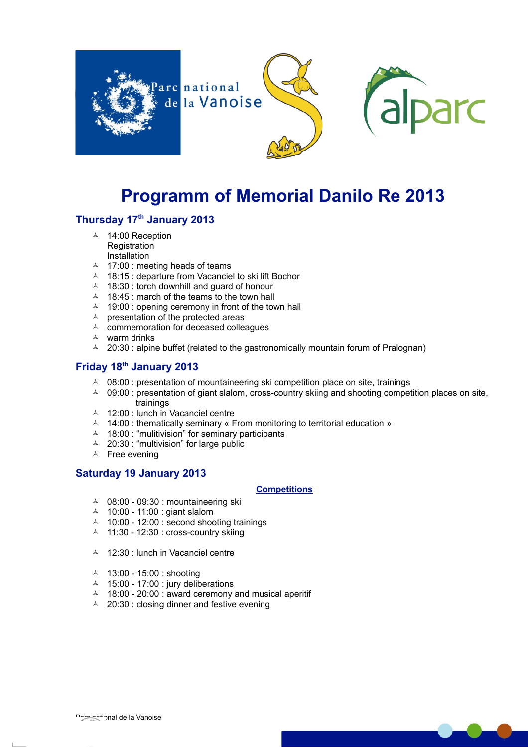

# **Programm of Memorial Danilo Re 2013**

### **Thursday 17th January 2013**

- ▲ 14:00 Reception **Registration** Installation
- $\triangle$  17:00 : meeting heads of teams
- 18:15 : departure from Vacanciel to ski lift Bochor
- $\triangle$  18:30 : torch downhill and guard of honour
- $\triangle$  18:45 : march of the teams to the town hall
- $\triangle$  19:00 : opening ceremony in front of the town hall
- $\triangle$  presentation of the protected areas
- $\triangle$  commemoration for deceased colleagues
- $\lambda$  warm drinks
- $\sim$  20:30 : alpine buffet (related to the gastronomically mountain forum of Pralognan)

## **Friday 18th January 2013**

- $\sim$  08:00 : presentation of mountaineering ski competition place on site, trainings
- $\sim$  09:00 : presentation of giant slalom, cross-country skiing and shooting competition places on site, trainings
- 4 12:00 : lunch in Vacanciel centre
- $\textstyle\triangle$  14:00 : thematically seminary « From monitoring to territorial education »
- $\sim$  18:00 : "mulitivision" for seminary participants
- 20:30 : "multivision" for large public
- $\uparrow$  Free evening

#### **Saturday 19 January 2013**

#### **Competitions**

- $\sim$  08:00 09:30 : mountaineering ski
- 10:00 11:00 : giant slalom
- $\sim$  10:00 12:00 : second shooting trainings
- $\uparrow$  11:30 12:30 : cross-country skiing
- 12:30 : lunch in Vacanciel centre
- 13:00 15:00 : shooting
- $\sim$  15:00 17:00 : jury deliberations
- $\sim$  18:00 20:00 : award ceremony and musical aperitif
- $\triangle$  20:30 : closing dinner and festive evening